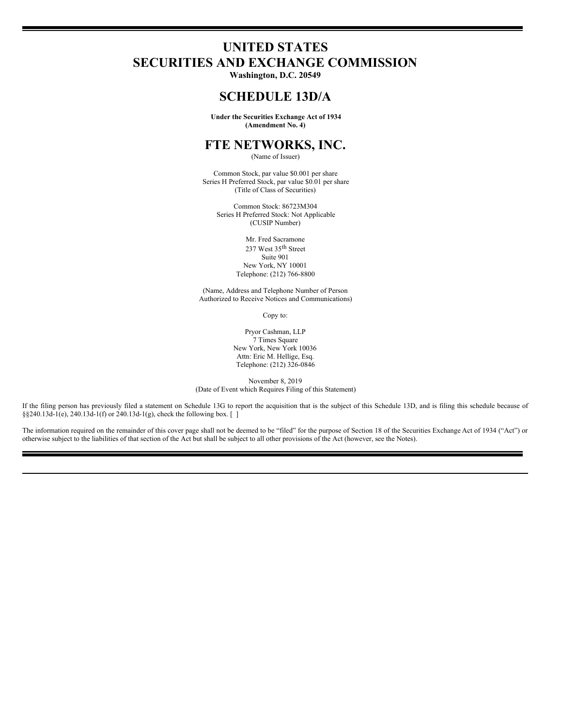# **UNITED STATES SECURITIES AND EXCHANGE COMMISSION**

**Washington, D.C. 20549**

## **SCHEDULE 13D/A**

**Under the Securities Exchange Act of 1934 (Amendment No. 4)**

## **FTE NETWORKS, INC.**

(Name of Issuer)

Common Stock, par value \$0.001 per share Series H Preferred Stock, par value \$0.01 per share (Title of Class of Securities)

Common Stock: 86723M304 Series H Preferred Stock: Not Applicable (CUSIP Number)

> Mr. Fred Sacramone 237 West 35 th Street Suite 901 New York, NY 10001 Telephone: (212) 766-8800

(Name, Address and Telephone Number of Person Authorized to Receive Notices and Communications)

Copy to:

Pryor Cashman, LLP 7 Times Square New York, New York 10036 Attn: Eric M. Hellige, Esq. Telephone: (212) 326-0846

November 8, 2019 (Date of Event which Requires Filing of this Statement)

If the filing person has previously filed a statement on Schedule 13G to report the acquisition that is the subject of this Schedule 13D, and is filing this schedule because of §§240.13d-1(e), 240.13d-1(f) or 240.13d-1(g), check the following box. [ ]

The information required on the remainder of this cover page shall not be deemed to be "filed" for the purpose of Section 18 of the Securities Exchange Act of 1934 ("Act") or otherwise subject to the liabilities of that section of the Act but shall be subject to all other provisions of the Act (however, see the Notes).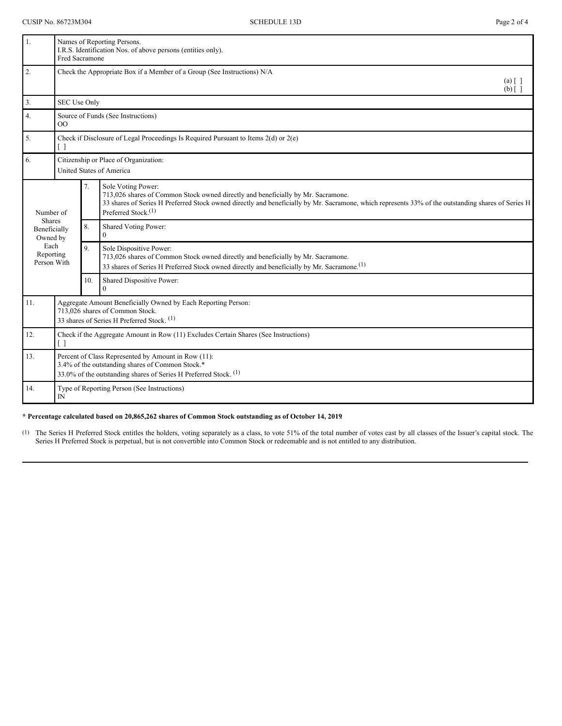| 1.                                        | Fred Sacramone                                                                                                                                                              |                | Names of Reporting Persons.<br>I.R.S. Identification Nos. of above persons (entities only).                                                                                                                                                                                            |
|-------------------------------------------|-----------------------------------------------------------------------------------------------------------------------------------------------------------------------------|----------------|----------------------------------------------------------------------------------------------------------------------------------------------------------------------------------------------------------------------------------------------------------------------------------------|
| 2.                                        |                                                                                                                                                                             |                | Check the Appropriate Box if a Member of a Group (See Instructions) N/A<br>$(a)$ $\lceil$ $\rceil$<br>$(b)$ []                                                                                                                                                                         |
| 3.                                        | SEC Use Only                                                                                                                                                                |                |                                                                                                                                                                                                                                                                                        |
| 4.                                        | Source of Funds (See Instructions)<br>$\overline{O}$                                                                                                                        |                |                                                                                                                                                                                                                                                                                        |
| 5.                                        | Check if Disclosure of Legal Proceedings Is Required Pursuant to Items $2(d)$ or $2(e)$<br>$\lceil$ $\rceil$                                                                |                |                                                                                                                                                                                                                                                                                        |
| 6.                                        | Citizenship or Place of Organization:<br><b>United States of America</b>                                                                                                    |                |                                                                                                                                                                                                                                                                                        |
| Number of                                 |                                                                                                                                                                             | 7.             | Sole Voting Power:<br>713,026 shares of Common Stock owned directly and beneficially by Mr. Sacramone.<br>33 shares of Series H Preferred Stock owned directly and beneficially by Mr. Sacramone, which represents 33% of the outstanding shares of Series H<br>Preferred Stock. $(1)$ |
| <b>Shares</b><br>Beneficially<br>Owned by |                                                                                                                                                                             | 8.             | Shared Voting Power:<br>$\Omega$                                                                                                                                                                                                                                                       |
| Each<br>Reporting<br>Person With          |                                                                                                                                                                             | 9 <sub>1</sub> | Sole Dispositive Power:<br>713,026 shares of Common Stock owned directly and beneficially by Mr. Sacramone.<br>33 shares of Series H Preferred Stock owned directly and beneficially by Mr. Sacramone. <sup>(1)</sup>                                                                  |
|                                           |                                                                                                                                                                             | 10.            | Shared Dispositive Power:<br>$\Omega$                                                                                                                                                                                                                                                  |
| 11.                                       | Aggregate Amount Beneficially Owned by Each Reporting Person:<br>713,026 shares of Common Stock.<br>33 shares of Series H Preferred Stock. <sup>(1)</sup>                   |                |                                                                                                                                                                                                                                                                                        |
| 12.                                       | Check if the Aggregate Amount in Row (11) Excludes Certain Shares (See Instructions)<br>$\lceil$ $\rceil$                                                                   |                |                                                                                                                                                                                                                                                                                        |
| 13.                                       | Percent of Class Represented by Amount in Row (11):<br>3.4% of the outstanding shares of Common Stock.*<br>33.0% of the outstanding shares of Series H Preferred Stock. (1) |                |                                                                                                                                                                                                                                                                                        |
| 14.                                       | Type of Reporting Person (See Instructions)<br>IN                                                                                                                           |                |                                                                                                                                                                                                                                                                                        |

### **\* Percentage calculated based on 20,865,262 shares of Common Stock outstanding as of October 14, 2019**.

(1) The Series H Preferred Stock entitles the holders, voting separately as a class, to vote 51% of the total number of votes cast by all classes of the Issuer's capital stock. The Series H Preferred Stock is perpetual, but is not convertible into Common Stock or redeemable and is not entitled to any distribution.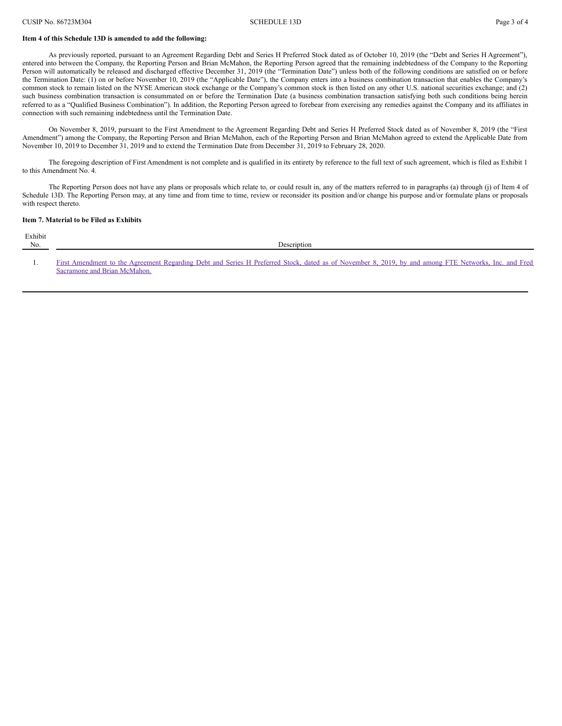#### **Item 4 of this Schedule 13D is amended to add the following:**

As previously reported, pursuant to an Agreement Regarding Debt and Series H Preferred Stock dated as of October 10, 2019 (the "Debt and Series H Agreement"), entered into between the Company, the Reporting Person and Brian McMahon, the Reporting Person agreed that the remaining indebtedness of the Company to the Reporting Person will automatically be released and discharged effective December 31, 2019 (the "Termination Date") unless both of the following conditions are satisfied on or before the Termination Date: (1) on or before November 10, 2019 (the "Applicable Date"), the Company enters into a business combination transaction that enables the Company's common stock to remain listed on the NYSE American stock exchange or the Company's common stock is then listed on any other U.S. national securities exchange; and (2) such business combination transaction is consummated on or before the Termination Date (a business combination transaction satisfying both such conditions being herein referred to as a "Qualified Business Combination"). In addition, the Reporting Person agreed to forebear from exercising any remedies against the Company and its affiliates in connection with such remaining indebtedness until the Termination Date.

On November 8, 2019, pursuant to the First Amendment to the Agreement Regarding Debt and Series H Preferred Stock dated as of November 8, 2019 (the "First Amendment") among the Company, the Reporting Person and Brian McMahon, each of the Reporting Person and Brian McMahon agreed to extend the Applicable Date from November 10, 2019 to December 31, 2019 and to extend the Termination Date from December 31, 2019 to February 28, 2020.

The foregoing description of First Amendment is not complete and is qualified in its entirety by reference to the full text of such agreement, which is filed as Exhibit 1 to this Amendment No. 4.

The Reporting Person does not have any plans or proposals which relate to, or could result in, any of the matters referred to in paragraphs (a) through (j) of Item 4 of Schedule 13D. The Reporting Person may, at any time and from time to time, review or reconsider its position and/or change his purpose and/or formulate plans or proposals with respect thereto.

#### **Item 7. Material to be Filed as Exhibits**

Sacramone and Brian McMahon.

| Exhibit<br>No. | <b>Description</b>                                                                                                                                   |
|----------------|------------------------------------------------------------------------------------------------------------------------------------------------------|
|                |                                                                                                                                                      |
|                | First Amendment to the Agreement Regarding Debt and Series H Preferred Stock, dated as of November 8, 2019, by and among FTE Networks, Inc. and Fred |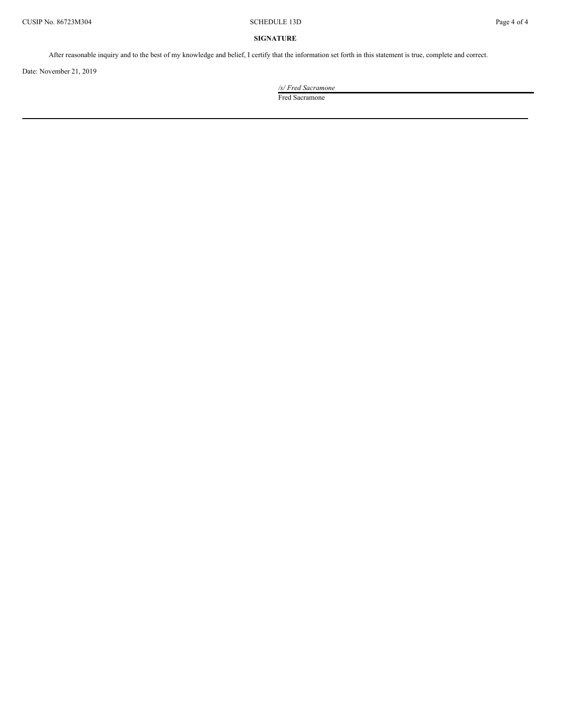### **SIGNATURE**

After reasonable inquiry and to the best of my knowledge and belief, I certify that the information set forth in this statement is true, complete and correct.

Date: November 21, 2019

*/s/ Fred Sacramone* Fred Sacramone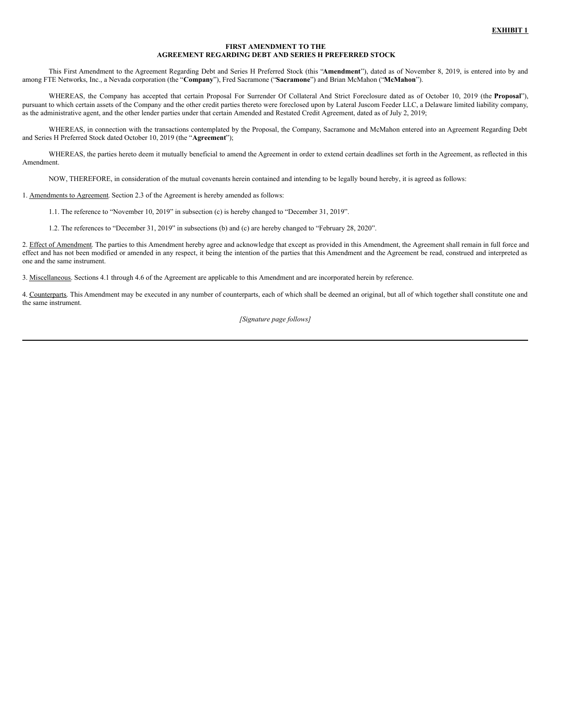#### **FIRST AMENDMENT TO THE AGREEMENT REGARDING DEBT AND SERIES H PREFERRED STOCK**

This First Amendment to the Agreement Regarding Debt and Series H Preferred Stock (this "**Amendment**"), dated as of November 8, 2019, is entered into by and among FTE Networks, Inc., a Nevada corporation (the "**Company**"), Fred Sacramone ("**Sacramone**") and Brian McMahon ("**McMahon**").

WHEREAS, the Company has accepted that certain Proposal For Surrender Of Collateral And Strict Foreclosure dated as of October 10, 2019 (the *Proposal*"), pursuant to which certain assets of the Company and the other credit parties thereto were foreclosed upon by Lateral Juscom Feeder LLC, a Delaware limited liability company, as the administrative agent, and the other lender parties under that certain Amended and Restated Credit Agreement, dated as of July 2, 2019;

WHEREAS, in connection with the transactions contemplated by the Proposal, the Company, Sacramone and McMahon entered into an Agreement Regarding Debt and Series H Preferred Stock dated October 10, 2019 (the "**Agreement**");

WHEREAS, the parties hereto deem it mutually beneficial to amend the Agreement in order to extend certain deadlines set forth in the Agreement, as reflected in this Amendment.

NOW, THEREFORE, in consideration of the mutual covenants herein contained and intending to be legally bound hereby, it is agreed as follows:

1. Amendments to Agreement. Section 2.3 of the Agreement is hereby amended as follows:

1.1. The reference to "November 10, 2019" in subsection (c) is hereby changed to "December 31, 2019".

1.2. The references to "December 31, 2019" in subsections (b) and (c) are hereby changed to "February 28, 2020".

2. Effect of Amendment. The parties to this Amendment hereby agree and acknowledge that except as provided in this Amendment, the Agreement shall remain in full force and effect and has not been modified or amended in any respect, it being the intention of the parties that this Amendment and the Agreement be read, construed and interpreted as one and the same instrument.

3. Miscellaneous. Sections 4.1 through 4.6 of the Agreement are applicable to this Amendment and are incorporated herein by reference.

4. Counterparts. This Amendment may be executed in any number of counterparts, each of which shall be deemed an original, but all of which together shall constitute one and the same instrument.

*[Signature page follows]*